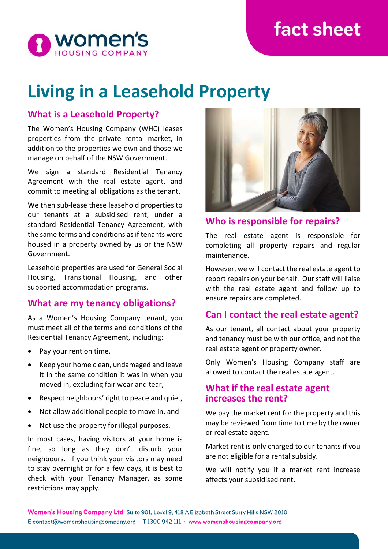# **fact sheet**



# **Living in a Leasehold Property**

## **What is a Leasehold Property?**

The Women's Housing Company (WHC) leases properties from the private rental market, in addition to the properties we own and those we manage on behalf of the NSW Government.

We sign a standard Residential Tenancy Agreement with the real estate agent, and commit to meeting all obligations as the tenant.

We then sub-lease these leasehold properties to our tenants at a subsidised rent, under a standard Residential Tenancy Agreement, with the same terms and conditions as if tenants were housed in a property owned by us or the NSW Government.

Leasehold properties are used for General Social Housing, Transitional Housing, and other supported accommodation programs.

### **What are my tenancy obligations?**

As a Women's Housing Company tenant, you must meet all of the terms and conditions of the Residential Tenancy Agreement, including:

- Pay your rent on time,
- Keep your home clean, undamaged and leave it in the same condition it was in when you moved in, excluding fair wear and tear,
- Respect neighbours' right to peace and quiet,
- Not allow additional people to move in, and
- Not use the property for illegal purposes.

In most cases, having visitors at your home is fine, so long as they don't disturb your neighbours. If you think your visitors may need to stay overnight or for a few days, it is best to check with your Tenancy Manager, as some restrictions may apply.



**Who is responsible for repairs?**

The real estate agent is responsible for completing all property repairs and regular maintenance.

However, we will contact the real estate agent to report repairs on your behalf. Our staff will liaise with the real estate agent and follow up to ensure repairs are completed.

### **Can I contact the real estate agent?**

As our tenant, all contact about your property and tenancy must be with our office, and not the real estate agent or property owner.

Only Women's Housing Company staff are allowed to contact the real estate agent.

#### **What if the real estate agent increases the rent?**

We pay the market rent for the property and this may be reviewed from time to time by the owner or real estate agent.

Market rent is only charged to our tenants if you are not eligible for a rental subsidy.

We will notify you if a market rent increase affects your subsidised rent.